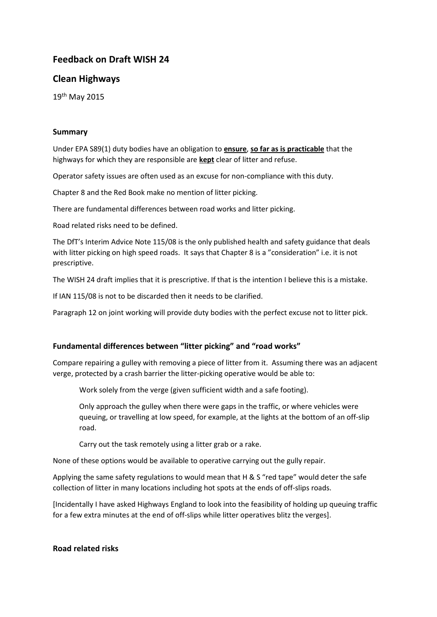# **Feedback on Draft WISH 24**

## **Clean Highways**

19th May 2015

#### **Summary**

Under EPA S89(1) duty bodies have an obligation to **ensure**, **so far as is practicable** that the highways for which they are responsible are **kept** clear of litter and refuse.

Operator safety issues are often used as an excuse for non-compliance with this duty.

Chapter 8 and the Red Book make no mention of litter picking.

There are fundamental differences between road works and litter picking.

Road related risks need to be defined.

The DfT's Interim Advice Note 115/08 is the only published health and safety guidance that deals with litter picking on high speed roads. It says that Chapter 8 is a "consideration" i.e. it is not prescriptive.

The WISH 24 draft implies that it is prescriptive. If that is the intention I believe this is a mistake.

If IAN 115/08 is not to be discarded then it needs to be clarified.

Paragraph 12 on joint working will provide duty bodies with the perfect excuse not to litter pick.

### **Fundamental differences between "litter picking" and "road works"**

Compare repairing a gulley with removing a piece of litter from it. Assuming there was an adjacent verge, protected by a crash barrier the litter-picking operative would be able to:

Work solely from the verge (given sufficient width and a safe footing).

Only approach the gulley when there were gaps in the traffic, or where vehicles were queuing, or travelling at low speed, for example, at the lights at the bottom of an off-slip road.

Carry out the task remotely using a litter grab or a rake.

None of these options would be available to operative carrying out the gully repair.

Applying the same safety regulations to would mean that  $H \& S$  "red tape" would deter the safe collection of litter in many locations including hot spots at the ends of off-slips roads.

[Incidentally I have asked Highways England to look into the feasibility of holding up queuing traffic for a few extra minutes at the end of off-slips while litter operatives blitz the verges].

### **Road related risks**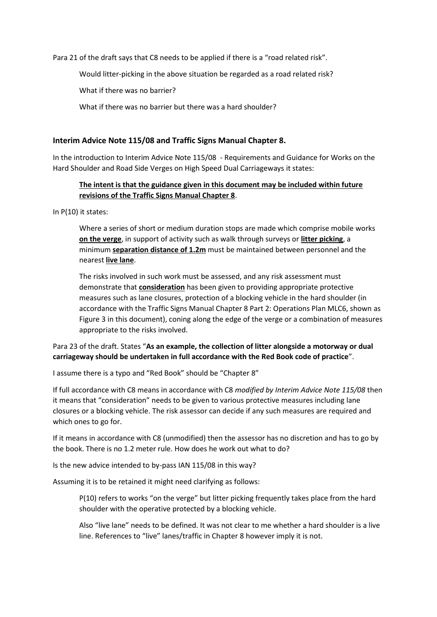Para 21 of the draft says that C8 needs to be applied if there is a "road related risk".

Would litter-picking in the above situation be regarded as a road related risk?

What if there was no barrier?

What if there was no barrier but there was a hard shoulder?

#### **Interim Advice Note 115/08 and Traffic Signs Manual Chapter 8.**

In the introduction to Interim Advice Note 115/08 - Requirements and Guidance for Works on the Hard Shoulder and Road Side Verges on High Speed Dual Carriageways it states:

### **The intent is that the guidance given in this document may be included within future revisions of the Traffic Signs Manual Chapter 8**.

In P(10) it states:

Where a series of short or medium duration stops are made which comprise mobile works **on the verge**, in support of activity such as walk through surveys or **litter picking**, a minimum **separation distance of 1.2m** must be maintained between personnel and the nearest **live lane**.

The risks involved in such work must be assessed, and any risk assessment must demonstrate that **consideration** has been given to providing appropriate protective measures such as lane closures, protection of a blocking vehicle in the hard shoulder (in accordance with the Traffic Signs Manual Chapter 8 Part 2: Operations Plan MLC6, shown as Figure 3 in this document), coning along the edge of the verge or a combination of measures appropriate to the risks involved.

### Para 23 of the draft. States "**As an example, the collection of litter alongside a motorway or dual carriageway should be undertaken in full accordance with the Red Book code of practice**".

I assume there is a typo and "Red Book" should be "Chapter 8"

If full accordance with C8 means in accordance with C8 *modified by Interim Advice Note 115/08* then it means that "consideration" needs to be given to various protective measures including lane closures or a blocking vehicle. The risk assessor can decide if any such measures are required and which ones to go for.

If it means in accordance with C8 (unmodified) then the assessor has no discretion and has to go by the book. There is no 1.2 meter rule. How does he work out what to do?

Is the new advice intended to by-pass IAN 115/08 in this way?

Assuming it is to be retained it might need clarifying as follows:

P(10) refers to works "on the verge" but litter picking frequently takes place from the hard shoulder with the operative protected by a blocking vehicle.

Also "live lane" needs to be defined. It was not clear to me whether a hard shoulder is a live line. References to "live" lanes/traffic in Chapter 8 however imply it is not.